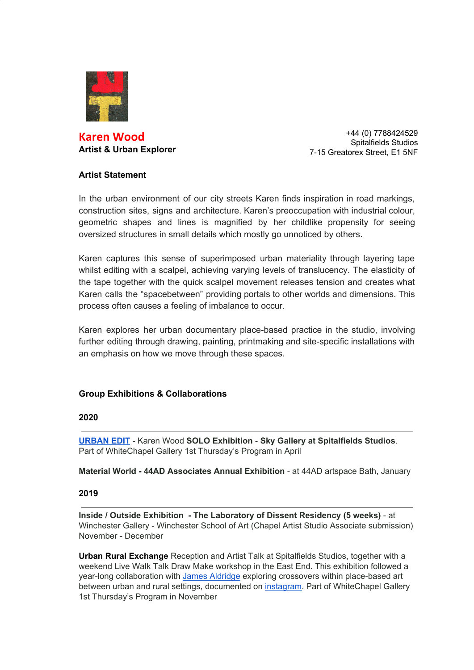

# **Karen Wood Artist & Urban Explorer**

+44 (0) 7788424529 Spitalfields Studios 7-15 Greatorex Street, E1 5NF

### **Artist Statement**

In the urban environment of our city streets Karen finds inspiration in road markings, construction sites, signs and architecture. Karen's preoccupation with industrial colour, geometric shapes and lines is magnified by her childlike propensity for seeing oversized structures in small details which mostly go unnoticed by others.

Karen captures this sense of superimposed urban materiality through layering tape whilst editing with a scalpel, achieving varying levels of translucency. The elasticity of the tape together with the quick scalpel movement releases tension and creates what Karen calls the "spacebetween" providing portals to other worlds and dimensions. This process often causes a feeling of imbalance to occur.

Karen explores her urban documentary place-based practice in the studio, involving further editing through drawing, painting, printmaking and site-specific installations with an emphasis on how we move through these spaces.

### **Group Exhibitions & Collaborations**

### **2020**

**[URBAN EDIT](https://www.kbwood.co.uk/current-exhibition-listing)** - Karen Wood **SOLO Exhibition** - **Sky Gallery at Spitalfields Studios**. Part of WhiteChapel Gallery 1st Thursday's Program in April

**Material World - 44AD Associates Annual Exhibition** - at 44AD artspace Bath, January

#### **2019**

**Inside / Outside Exhibition - The Laboratory of Dissent Residency (5 weeks)** - at Winchester Gallery - Winchester School of Art (Chapel Artist Studio Associate submission) November - December

**[Urban Rural Exchange](http://spitalfieldsstudios.com/events.html#Urban711)** Reception and Artist Talk at Spitalfields Studios, together with a weekend Live Walk Talk Draw Make workshop in the East End. This exhibition followed a year-long collaboration with [James Aldridge](http://www.jamesaldridge-artist.co.uk/news-and-contact/) exploring crossovers within place-based art between urban and rural settings, documented on [instagram.](https://www.instagram.com/urbanruralexchange/) Part of WhiteChapel Gallery 1st Thursday's Program in November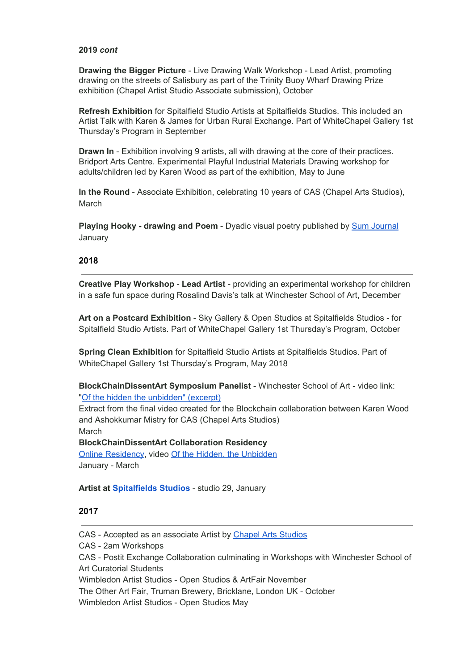### **2019** *cont*

**Drawing the Bigger Picture** - Live Drawing Walk Workshop - Lead Artist, promoting drawing on the streets of Salisbury as part of the Trinity Buoy Wharf Drawing Prize exhibition (Chapel Artist Studio Associate submission), October

**Refresh Exhibition** for Spitalfield Studio Artists at Spitalfields Studios. This included an Artist Talk with Karen & James for Urban Rural Exchange. Part of WhiteChapel Gallery 1st Thursday's Program in September

**Drawn In** - Exhibition involving 9 artists, all with drawing at the core of their practices. Bridport Arts Centre. Experimental Playful Industrial Materials Drawing workshop for adults/children led by Karen Wood as part of the exhibition, May to June

**In the Round** - Associate Exhibition, celebrating 10 years of CAS (Chapel Arts Studios), March

**Playing Hooky - drawing and Poem** - Dyadic visual poetry published by [Sum Journal](https://www.instagram.com/p/BtL5VKNABoa/?utm_source=ig_web_copy_link) January

### **2018**

**Creative Play Workshop** - **Lead Artist** - providing an experimental workshop for children in a safe fun space during Rosalind Davis's talk at Winchester School of Art, December

**Art on a Postcard Exhibition** - Sky Gallery & Open Studios at Spitalfields Studios - for Spitalfield Studio Artists. Part of WhiteChapel Gallery 1st Thursday's Program, October

**Spring Clean Exhibition** for Spitalfield Studio Artists at Spitalfields Studios. Part of WhiteChapel Gallery 1st Thursday's Program, May 2018

**BlockChainDissentArt Symposium Panelist** - Winchester School of Art - video link: "[Of the hidden the unbidden" \(excerpt\)](https://youtu.be/kSTHqhqvigQ)

Extract from the final video created for the Blockchain collaboration between Karen Wood and Ashokkumar Mistry for CAS (Chapel Arts Studios) March

**BlockChainDissentArt Collaboration Residency** [Online Residency,](https://block-chain.chapelartsstudios.co.uk/block_ii) video [Of the Hidden, the Unbidden](https://www.youtube.com/watch?v=gYyI_uXFm7E&feature=youtu.be) January - March

**Artist at [Spitalfields Studios](http://spitalfieldsstudios.com/)** - studio 29, January

#### **2017**

CAS - Accepted as an associate Artist by [Chapel Arts Studios](http://www.chapelartsstudios.co.uk/)

CAS - 2am Workshops

CAS - Postit Exchange Collaboration culminating in Workshops with Winchester School of Art Curatorial Students

Wimbledon Artist Studios - Open Studios & ArtFair November

The Other Art Fair, Truman Brewery, Bricklane, London UK - October

Wimbledon Artist Studios - Open Studios May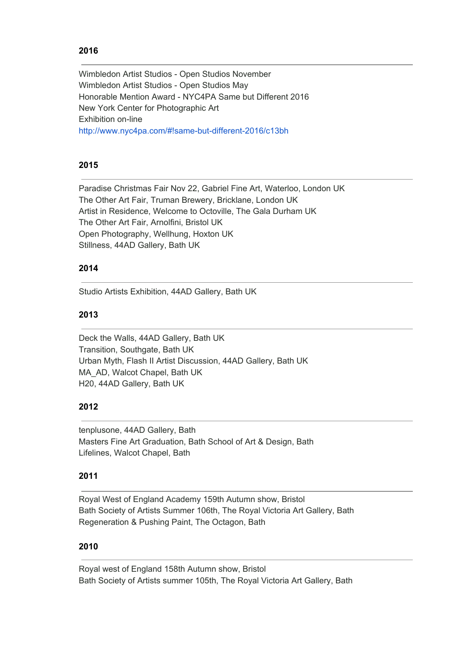# **2016**

Wimbledon Artist Studios - Open Studios November Wimbledon Artist Studios - Open Studios May Honorable Mention Award - NYC4PA Same but Different 2016 New York Center for Photographic Art Exhibition on-line <http://www.nyc4pa.com/#!same-but-different-2016/c13bh>

# **2015**

Paradise Christmas Fair Nov 22, Gabriel Fine Art, Waterloo, London UK The Other Art Fair, Truman Brewery, Bricklane, London UK Artist in Residence, Welcome to Octoville, The Gala Durham UK The Other Art Fair, Arnolfini, Bristol UK Open Photography, Wellhung, Hoxton UK Stillness, 44AD Gallery, Bath UK

### **2014**

Studio Artists Exhibition, 44AD Gallery, Bath UK

### **2013**

Deck the Walls, 44AD Gallery, Bath UK Transition, Southgate, Bath UK Urban Myth, Flash II Artist Discussion, 44AD Gallery, Bath UK MA\_AD, Walcot Chapel, Bath UK H20, 44AD Gallery, Bath UK

### **2012**

tenplusone, 44AD Gallery, Bath Masters Fine Art Graduation, Bath School of Art & Design, Bath Lifelines, Walcot Chapel, Bath

### **2011**

Royal West of England Academy 159th Autumn show, Bristol Bath Society of Artists Summer 106th, The Royal Victoria Art Gallery, Bath Regeneration & Pushing Paint, The Octagon, Bath

### **2010**

Royal west of England 158th Autumn show, Bristol Bath Society of Artists summer 105th, The Royal Victoria Art Gallery, Bath